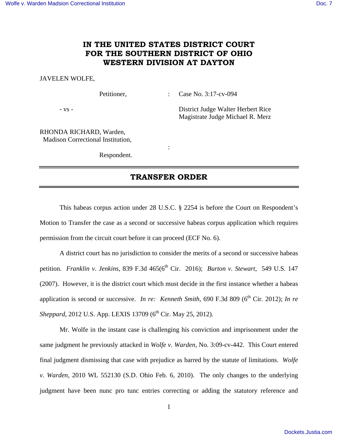## **IN THE UNITED STATES DISTRICT COURT FOR THE SOUTHERN DISTRICT OF OHIO WESTERN DIVISION AT DAYTON**

## JAVELEN WOLFE,

Petitioner, : Case No. 3:17-cv-094

- vs - District Judge Walter Herbert Rice Magistrate Judge Michael R. Merz

RHONDA RICHARD, Warden, Madison Correctional Institution,

Respondent.

**Service State State State** 

## **TRANSFER ORDER**

 This habeas corpus action under 28 U.S.C. § 2254 is before the Court on Respondent's Motion to Transfer the case as a second or successive habeas corpus application which requires permission from the circuit court before it can proceed (ECF No. 6).

 A district court has no jurisdiction to consider the merits of a second or successive habeas petition. *Franklin v. Jenkins*, 839 F.3d 465(6<sup>th</sup> Cir. 2016); *Burton v. Stewart*, 549 U.S. 147 (2007). However, it is the district court which must decide in the first instance whether a habeas application is second or successive. *In re: Kenneth Smith*, 690 F.3d 809 (6<sup>th</sup> Cir. 2012); *In re Sheppard*, 2012 U.S. App. LEXIS 13709 (6<sup>th</sup> Cir. May 25, 2012).

 Mr. Wolfe in the instant case is challenging his conviction and imprisonment under the same judgment he previously attacked in *Wolfe v. Warden*, No. 3:09-cv-442. This Court entered final judgment dismissing that case with prejudice as barred by the statute of limitations. *Wolfe v. Warden,* 2010 WL 552130 (S.D. Ohio Feb. 6, 2010). The only changes to the underlying judgment have been nunc pro tunc entries correcting or adding the statutory reference and